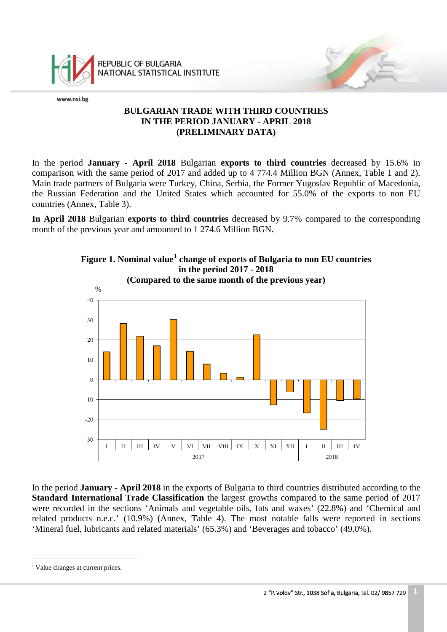

REPUBLIC OF BULGARIA NATIONAL STATISTICAL INSTITUTE

www.nsi.bg

## **BULGARIAN TRADE WITH THIRD COUNTRIES IN THE PERIOD JANUARY - APRIL 2018 (PRELIMINARY DATA)**

In the period **January - April 2018** Bulgarian **exports to third countries** decreased by 15.6% in comparison with the same period of 2017 and added up to 4 774.4 Million BGN (Annex, Table 1 and 2). Main trade partners of Bulgaria were Turkey, China, Serbia, the Former Yugoslav Republic of Macedonia, the Russian Federation and the United States which accounted for 55.0% of the exports to non EU countries (Annex, Table 3).

**In April 2018** Bulgarian **exports to third countries** decreased by 9.7% compared to the corresponding month of the previous year and amounted to 1 274.6 Million BGN.



In the period **January - April 2018** in the exports of Bulgaria to third countries distributed according to the **Standard International Trade Classification** the largest growths compared to the same period of 2017 were recorded in the sections 'Animals and vegetable oils, fats and waxes' (22.8%) and 'Chemical and related products n.e.c.' (10.9%) (Annex, Table 4). The most notable falls were reported in sections 'Mineral fuel, lubricants and related materials' (65.3%) and 'Beverages and tobacco' (49.0%).

<span id="page-0-0"></span><sup>&</sup>lt;sup>1</sup> Value changes at current prices. l,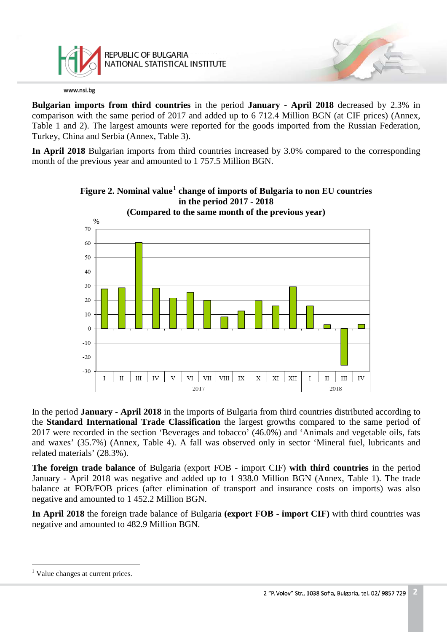

**Bulgarian imports from third countries** in the period **January - April 2018** decreased by 2.3% in comparison with the same period of 2017 and added up to 6 712.4 Million BGN (at CIF prices) (Annex, Table 1 and 2). The largest amounts were reported for the goods imported from the Russian Federation, Turkey, China and Serbia (Annex, Table 3).

**In April 2018** Bulgarian imports from third countries increased by 3.0% compared to the corresponding month of the previous year and amounted to 1 757.5 Million BGN.



## **Figure 2. Nominal value[1](#page-1-0) change of imports of Bulgaria to non EU countries in the period 2017 - 2018**

In the period **January - April 2018** in the imports of Bulgaria from third countries distributed according to the **Standard International Trade Classification** the largest growths compared to the same period of 2017 were recorded in the section 'Beverages and tobacco' (46.0%) and 'Animals and vegetable oils, fats and waxes' (35.7%) (Annex, Table 4). A fall was observed only in sector 'Mineral fuel, lubricants and related materials' (28.3%).

**The foreign trade balance** of Bulgaria (export FOB - import CIF) **with third countries** in the period January - April 2018 was negative and added up to 1 938.0 Million BGN (Annex, Table 1). The trade balance at FOB/FOB prices (after elimination of transport and insurance costs on imports) was also negative and amounted to 1 452.2 Million BGN.

**In April 2018** the foreign trade balance of Bulgaria **(export FOB - import CIF)** with third countries was negative and amounted to 482.9 Million BGN.

<span id="page-1-0"></span><sup>&</sup>lt;sup>1</sup> Value changes at current prices.  $\frac{1}{1}$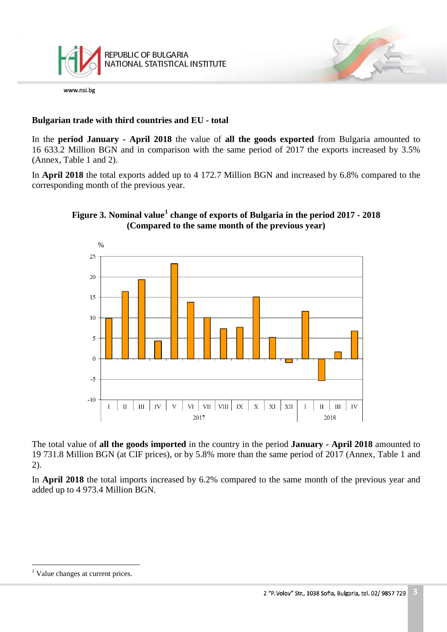

## **Bulgarian trade with third countries and EU - total**

In the **period January - April 2018** the value of **all the goods exported** from Bulgaria amounted to 16 633.2 Million BGN and in comparison with the same period of 2017 the exports increased by 3.5% (Annex, Table 1 and 2).

In **April 2018** the total exports added up to 4 172.7 Million BGN and increased by 6.8% compared to the corresponding month of the previous year.



## **Figure 3. Nominal value[1](#page-2-0) change of exports of Bulgaria in the period 2017 - 2018 (Compared to the same month of the previous year)**

The total value of **all the goods imported** in the country in the period **January - April 2018** amounted to 19 731.8 Million BGN (at CIF prices), or by 5.8% more than the same period of 2017 (Annex, Table 1 and 2).

In **April 2018** the total imports increased by 6.2% compared to the same month of the previous year and added up to 4 973.4 Million BGN.

<span id="page-2-0"></span><sup>&</sup>lt;sup>1</sup> Value changes at current prices.  $\frac{1}{1}$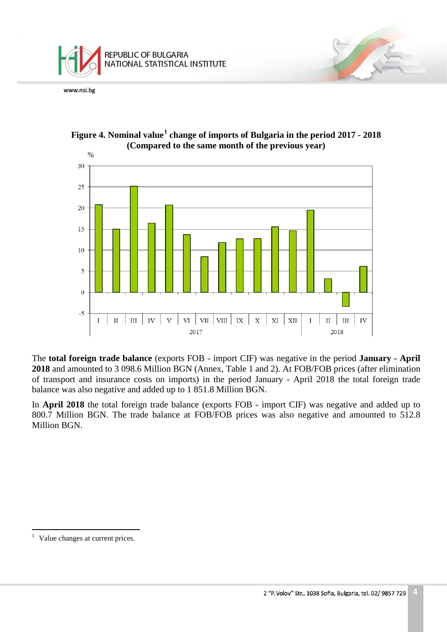





The **total foreign trade balance** (exports FOB - import CIF) was negative in the period **January - April 2018** and amounted to 3 098.6 Million BGN (Annex, Table 1 and 2). At FOB/FOB prices (after elimination of transport and insurance costs on imports) in the period January - April 2018 the total foreign trade balance was also negative and added up to 1 851.8 Million BGN.

In **April 2018** the total foreign trade balance (exports FOB - import CIF) was negative and added up to 800.7 Million BGN. The trade balance at FOB/FOB prices was also negative and amounted to 512.8 Million BGN.

<span id="page-3-0"></span>Value changes at current prices.  $\frac{1}{1}$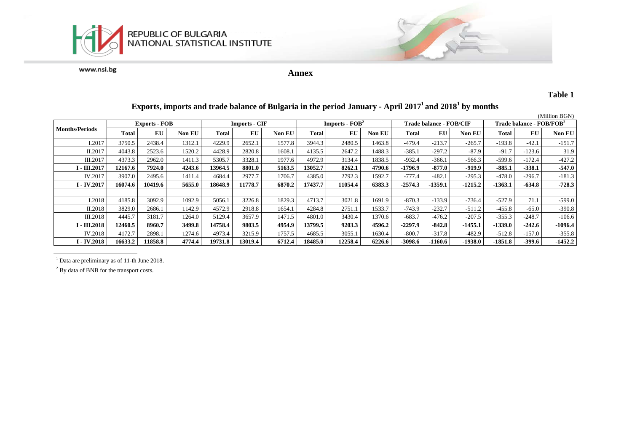



**Annex**

### **Table 1**

|                           |                      |         |               |                      |         |               |                  |         |        |                         |           |           |                                            |          | (Million BGN) |
|---------------------------|----------------------|---------|---------------|----------------------|---------|---------------|------------------|---------|--------|-------------------------|-----------|-----------|--------------------------------------------|----------|---------------|
| <b>Months/Periods</b>     | <b>Exports - FOB</b> |         |               | <b>Imports - CIF</b> |         |               | $Imports - FOB2$ |         |        | Trade balance - FOB/CIF |           |           | <b>Trade balance - FOB/FOB<sup>2</sup></b> |          |               |
|                           | Total                | EU      | <b>Non EU</b> | <b>Total</b>         | EU      | <b>Non EU</b> | Total            | EU      | Non EU | <b>Total</b>            | EU        | Non EU    | Total                                      | EU       | Non EU        |
| I.2017                    | 3750.5               | 2438.4  | 1312.1        | 4229.9               | 2652.1  | 1577.8        | 3944.3           | 2480.5  | 1463.8 | $-479.4$                | $-213.7$  | $-265.7$  | $-193.8$                                   | $-42.1$  | $-151.7$      |
| II.2017                   | 4043.8               | 2523.6  | 1520.2        | 4428.9               | 2820.8  | 1608.1        | 4135.5           | 2647.2  | 1488.3 | $-385.1$                | $-297.2$  | $-87.9$   | $-91.7$                                    | $-123.6$ | 31.9          |
| III.2017                  | 4373.3               | 2962.0  | 1411.3        | 5305.7               | 3328.1  | 1977.6        | 4972.9           | 3134.4  | 1838.5 | $-932.4$                | $-366.1$  | $-566.3$  | $-599.6$                                   | $-172.4$ | $-427.2$      |
| I - III.2017              | 12167.6              | 7924.0  | 4243.6        | 13964.5              | 8801.0  | 5163.5        | 13052.7          | 8262.1  | 4790.6 | $-1796.9$               | $-877.0$  | $-919.9$  | $-885.1$                                   | $-338.1$ | $-547.0$      |
| IV.2017                   | 3907.0               | 2495.6  | 1411.4        | 4684.4               | 2977.7  | 1706.7        | 4385.0           | 2792.3  | 1592.7 | $-777.4$                | $-482.1$  | $-295.3$  | $-478.0$                                   | $-296.7$ | $-181.3$      |
| $I - IV.2017$             | 16074.6              | 10419.6 | 5655.0        | 18648.9              | 11778.7 | 6870.2        | 17437.7          | 11054.4 | 6383.3 | $-2574.3$               | $-1359.1$ | $-1215.2$ | $-1363.1$                                  | $-634.8$ | $-728.3$      |
|                           |                      |         |               |                      |         |               |                  |         |        |                         |           |           |                                            |          |               |
| I.2018                    | 4185.8               | 3092.9  | 1092.9        | 5056.1               | 3226.8  | 1829.3        | 4713.7           | 3021.8  | 1691.9 | $-870.3$                | $-133.9$  | $-736.4$  | $-527.9$                                   | 71.1     | $-599.0$      |
| II.2018                   | 3829.0               | 2686.1  | 142.9         | 4572.9               | 2918.8  | 1654.1        | 4284.8           | 2751.1  | 1533.7 | $-743.9$                | $-232.7$  | $-511.2$  | $-455.8$                                   | $-65.0$  | $-390.8$      |
| III.2018                  | 4445.7               | 3181.7  | 1264.0        | 5129.4               | 3657.9  | 1471.5        | 4801.0           | 3430.4  | 1370.6 | $-683.7$                | $-476.2$  | -207.5    | $-355.3$                                   | $-248.7$ | $-106.6$      |
| <b>I - III.2018</b>       | 12460.5              | 8960.7  | 3499.8        | 14758.4              | 9803.5  | 4954.9        | 13799.5          | 9203.3  | 4596.2 | $-2297.9$               | $-842.8$  | $-1455.1$ | $-1339.0$                                  | $-242.6$ | $-1096.4$     |
| IV.2018                   | 4172.7               | 2898.1  | 1274.6        | 4973.4               | 3215.9  | 1757.5        | 4685.5           | 3055.1  | 1630.4 | $-800.7$                | $-317.8$  | $-482.9$  | $-512.8$                                   | $-157.0$ | $-355.8$      |
| <b>I</b> - <b>IV.2018</b> | 16633.2              | 11858.8 | 4774.4        | 19731.8              | 13019.4 | 6712.4        | 18485.0          | 12258.4 | 6226.6 | -3098.6                 | -1160.6   | $-1938.0$ | $-1851.8$                                  | $-399.6$ | $-1452.2$     |

# **Exports, imports and trade balance of Bulgaria in the period January - April 20171 and 20181 by months**

<sup>1</sup> Data are preliminary as of 11-th June 2018.

<sup>2</sup> By data of BNB for the transport costs.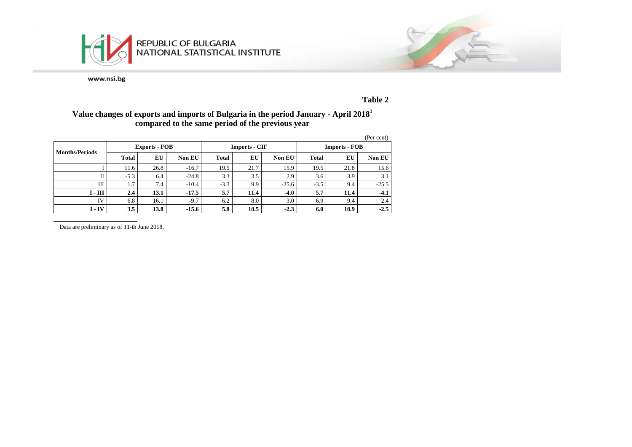



### **Table 2**

### **Value changes of exports and imports of Bulgaria in the period January - April 20181 compared to the same period of the previous year**

|                       |        |                      |               |              |                      |         |                      |      | (Per cent) |  |
|-----------------------|--------|----------------------|---------------|--------------|----------------------|---------|----------------------|------|------------|--|
|                       |        | <b>Exports - FOB</b> |               |              | <b>Imports - CIF</b> |         | <b>Imports - FOB</b> |      |            |  |
| <b>Months/Periods</b> | Total  | EU                   | <b>Non EU</b> | <b>Total</b> | EU                   | Non EU  | <b>Total</b>         | EU   | Non EU     |  |
|                       | 11.6   | 26.8                 | $-16.7$       | 19.5         | 21.7                 | 15.9    | 19.5                 | 21.8 | 15.6       |  |
| П                     | $-5.3$ | 6.4                  | $-24.8$       | 3.3          | 3.5                  | 2.9     | 3.6                  | 3.9  | 3.1        |  |
| Ш                     | 1.7    | 7.4                  | $-10.4$       | $-3.3$       | 9.9                  | $-25.6$ | $-3.5$               | 9.4  | $-25.5$    |  |
| $I - III$             | 2.4    | 13.1                 | $-17.5$       | 5.7          | 11.4                 | $-4.0$  | 5.7                  | 11.4 | $-4.1$     |  |
| <b>IV</b>             | 6.8    | 16.1                 | $-9.7$        | 6.2          | 8.0                  | 3.0     | 6.9                  | 9.4  | 2.4        |  |
| $I - IV$              | 3.5    | 13.8                 | $-15.6$       | 5.8          | 10.5                 | $-2.3$  | 6.0                  | 10.9 | $-2.5$     |  |

<sup>1</sup> Data are preliminary as of 11-th June 2018.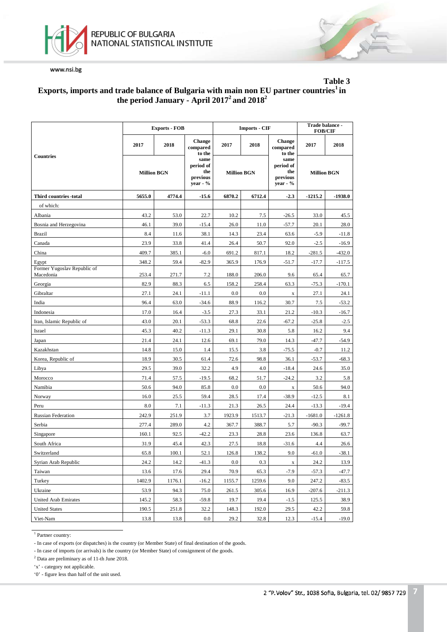



### **Table 3 Exports, imports and trade balance of Bulgaria with main non EU partner countries1 in the period January - April 20172 and 20182**

|                                          |                    | <b>Exports - FOB</b> |                                                    |                    | <b>Imports - CIF</b> | Trade balance -<br><b>FOB/CIF</b>                  |                    |           |
|------------------------------------------|--------------------|----------------------|----------------------------------------------------|--------------------|----------------------|----------------------------------------------------|--------------------|-----------|
|                                          | 2017               | 2018                 | <b>Change</b><br>compared<br>to the                | 2017<br>2018       |                      | <b>Change</b><br>compared<br>to the                | 2017               | 2018      |
| <b>Countries</b>                         | <b>Million BGN</b> |                      | same<br>period of<br>the<br>previous<br>year - $%$ | <b>Million BGN</b> |                      | same<br>period of<br>the<br>previous<br>year $-$ % | <b>Million BGN</b> |           |
| Third countries -total                   | 5655.0             | 4774.4               | $-15.6$                                            | 6870.2             | 6712.4               | $-2.3$                                             | $-1215.2$          | $-1938.0$ |
| of which:                                |                    |                      |                                                    |                    |                      |                                                    |                    |           |
| Albania                                  | 43.2               | 53.0                 | 22.7                                               | 10.2               | 7.5                  | $-26.5$                                            | 33.0               | 45.5      |
| Bosnia and Herzegovina                   | 46.1               | 39.0                 | $-15.4$                                            | 26.0               | 11.0                 | $-57.7$                                            | 20.1               | 28.0      |
| <b>Brazil</b>                            | 8.4                | 11.6                 | 38.1                                               | 14.3               | 23.4                 | 63.6                                               | $-5.9$             | $-11.8$   |
| Canada                                   | 23.9               | 33.8                 | 41.4                                               | 26.4               | 50.7                 | 92.0                                               | $-2.5$             | $-16.9$   |
| China                                    | 409.7              | 385.1                | $-6.0$                                             | 691.2              | 817.1                | 18.2                                               | $-281.5$           | $-432.0$  |
| Egypt                                    | 348.2              | 59.4                 | $-82.9$                                            | 365.9              | 176.9                | $-51.7$                                            | $-17.7$            | $-117.5$  |
| Former Yugoslav Republic of<br>Macedonia | 253.4              | 271.7                | 7.2                                                | 188.0              | 206.0                | 9.6                                                | 65.4               | 65.7      |
| Georgia                                  | 82.9               | 88.3                 | 6.5                                                | 158.2              | 258.4                | 63.3                                               | $-75.3$            | $-170.1$  |
| Gibraltar                                | 27.1               | 24.1                 | $-11.1$                                            | 0.0                | 0.0                  | $\mathbf x$                                        | 27.1               | 24.1      |
| India                                    | 96.4               | 63.0                 | $-34.6$                                            | 88.9               | 116.2                | 30.7                                               | 7.5                | $-53.2$   |
| Indonesia                                | 17.0               | 16.4                 | $-3.5$                                             | 27.3               | 33.1                 | 21.2                                               | $-10.3$            | $-16.7$   |
| Iran, Islamic Republic of                | 43.0               | 20.1                 | $-53.3$                                            | 68.8               | 22.6                 | $-67.2$                                            | $-25.8$            | $-2.5$    |
| Israel                                   | 45.3               | 40.2                 | $-11.3$                                            | 29.1               | 30.8                 | 5.8                                                | 16.2               | 9.4       |
| Japan                                    | 21.4               | 24.1                 | 12.6                                               | 69.1               | 79.0                 | 14.3                                               | $-47.7$            | $-54.9$   |
| Kazakhstan                               | 14.8               | 15.0                 | 1.4                                                | 15.5               | 3.8                  | $-75.5$                                            | $-0.7$             | 11.2      |
| Korea, Republic of                       | 18.9               | 30.5                 | 61.4                                               | 72.6               | 98.8                 | 36.1                                               | $-53.7$            | $-68.3$   |
| Libya                                    | 29.5               | 39.0                 | 32.2                                               | 4.9                | 4.0                  | $-18.4$                                            | 24.6               | 35.0      |
| Morocco                                  | 71.4               | 57.5                 | $-19.5$                                            | 68.2               | 51.7                 | $-24.2$                                            | 3.2                | 5.8       |
| Namibia                                  | 50.6               | 94.0                 | 85.8                                               | 0.0                | 0.0                  | $\mathbf X$                                        | 50.6               | 94.0      |
| Norway                                   | 16.0               | 25.5                 | 59.4                                               | 28.5               | 17.4                 | $-38.9$                                            | $-12.5$            | 8.1       |
| Peru                                     | 8.0                | 7.1                  | $-11.3$                                            | 21.3               | 26.5                 | 24.4                                               | $-13.3$            | $-19.4$   |
| <b>Russian Federation</b>                | 242.9              | 251.9                | 3.7                                                | 1923.9             | 1513.7               | $-21.3$                                            | $-1681.0$          | $-1261.8$ |
| Serbia                                   | 277.4              | 289.0                | 4.2                                                | 367.7              | 388.7                | 5.7                                                | $-90.3$            | $-99.7$   |
| Singapore                                | 160.1              | 92.5                 | $-42.2$                                            | 23.3               | 28.8                 | 23.6                                               | 136.8              | 63.7      |
| South Africa                             | 31.9               | 45.4                 | 42.3                                               | 27.5               | 18.8                 | $-31.6$                                            | 4.4                | 26.6      |
| Switzerland                              | 65.8               | 100.1                | 52.1                                               | 126.8              | 138.2                | 9.0                                                | $-61.0$            | $-38.1$   |
| Syrian Arab Republic                     | 24.2               | 14.2                 | $-41.3$                                            | $0.0\,$            | 0.3                  | $\mathbf X$                                        | 24.2               | 13.9      |
| Taiwan                                   | 13.6               | 17.6                 | 29.4                                               | 70.9               | 65.3                 | $-7.9$                                             | $-57.3$            | -47.7     |
| Turkey                                   | 1402.9             | 1176.1               | $-16.2$                                            | 1155.7             | 1259.6               | 9.0                                                | 247.2              | $-83.5$   |
| Ukraine                                  | 53.9               | 94.3                 | 75.0                                               | 261.5              | 305.6                | 16.9                                               | $-207.6$           | $-211.3$  |
| <b>United Arab Emirates</b>              | 145.2              | 58.3                 | $-59.8$                                            | 19.7               | 19.4                 | $-1.5$                                             | 125.5              | 38.9      |
| <b>United States</b>                     | 190.5              | 251.8                | 32.2                                               | 148.3              | 192.0                | 29.5                                               | 42.2               | 59.8      |
| Viet-Nam                                 | 13.8               | 13.8                 | 0.0                                                | 29.2               | 32.8                 | 12.3                                               | $-15.4$            | $-19.0$   |

<sup>1</sup> Partner country:

- In case of exports (or dispatches) is the country (or Member State) of final destination of the goods.

- In case of imports (or arrivals) is the country (or Member State) of consignment of the goods.

<sup>2</sup> Data are preliminary as of 11-th June 2018.

'x' - category not applicable.

'0' - figure less than half of the unit used.